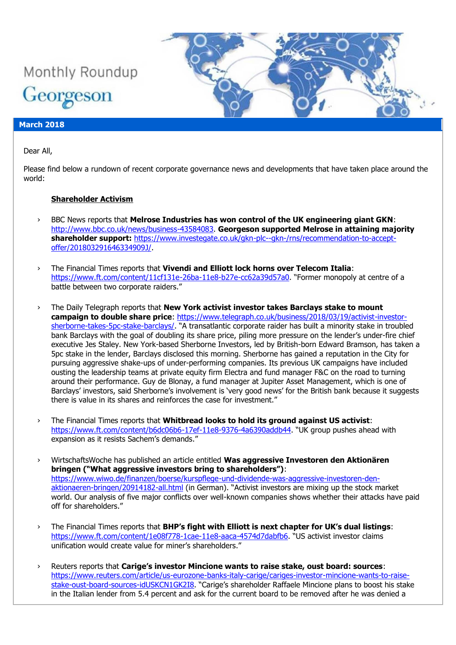# Monthly Roundup Georgeson

#### **March 2018**

Dear All,

Please find below a rundown of recent corporate governance news and developments that have taken place around the world:

#### **Shareholder Activism**

- › BBC News reports that **Melrose Industries has won control of the UK engineering giant GKN**: [http://www.bbc.co.uk/news/business-43584083.](http://www.bbc.co.uk/news/business-43584083) **Georgeson supported Melrose in attaining majority shareholder support:** [https://www.investegate.co.uk/gkn-plc--gkn-/rns/recommendation-to-accept](https://www.investegate.co.uk/gkn-plc--gkn-/rns/recommendation-to-accept-offer/201803291646334909J/)[offer/201803291646334909J/.](https://www.investegate.co.uk/gkn-plc--gkn-/rns/recommendation-to-accept-offer/201803291646334909J/)
- › The Financial Times reports that **Vivendi and Elliott lock horns over Telecom Italia**: <https://www.ft.com/content/11cf131e-26ba-11e8-b27e-cc62a39d57a0>. "Former monopoly at centre of a battle between two corporate raiders."
- › The Daily Telegraph reports that **New York activist investor takes Barclays stake to mount campaign to double share price**: [https://www.telegraph.co.uk/business/2018/03/19/activist-investor](https://www.telegraph.co.uk/business/2018/03/19/activist-investor-sherborne-takes-5pc-stake-barclays/)[sherborne-takes-5pc-stake-barclays/](https://www.telegraph.co.uk/business/2018/03/19/activist-investor-sherborne-takes-5pc-stake-barclays/). "A transatlantic corporate raider has built a minority stake in troubled bank Barclays with the goal of doubling its share price, piling more pressure on the lender's under-fire chief executive Jes Staley. New York-based Sherborne Investors, led by British-born Edward Bramson, has taken a 5pc stake in the lender, Barclays disclosed this morning. Sherborne has gained a reputation in the City for pursuing aggressive shake-ups of under-performing companies. Its previous UK campaigns have included ousting the leadership teams at private equity firm Electra and fund manager F&C on the road to turning around their performance. Guy de Blonay, a fund manager at Jupiter Asset Management, which is one of Barclays' investors, said Sherborne's involvement is 'very good news' for the British bank because it suggests there is value in its shares and reinforces the case for investment."
- › The Financial Times reports that **Whitbread looks to hold its ground against US activist**: <https://www.ft.com/content/b6dc06b6-17ef-11e8-9376-4a6390addb44>. "UK group pushes ahead with expansion as it resists Sachem's demands."
- › WirtschaftsWoche has published an article entitled **Was aggressive Investoren den Aktionären bringen ("What aggressive investors bring to shareholders")**: [https://www.wiwo.de/finanzen/boerse/kurspflege-und-dividende-was-aggressive-investoren-den](https://www.wiwo.de/finanzen/boerse/kurspflege-und-dividende-was-aggressive-investoren-den-aktionaeren-bringen/20914182-all.html)[aktionaeren-bringen/20914182-all.html](https://www.wiwo.de/finanzen/boerse/kurspflege-und-dividende-was-aggressive-investoren-den-aktionaeren-bringen/20914182-all.html) (in German). "Activist investors are mixing up the stock market world. Our analysis of five major conflicts over well-known companies shows whether their attacks have paid off for shareholders."
- › The Financial Times reports that **BHP's fight with Elliott is next chapter for UK's dual listings**: <https://www.ft.com/content/1e08f778-1cae-11e8-aaca-4574d7dabfb6>. "US activist investor claims unification would create value for miner's shareholders."
- › Reuters reports that **Carige's investor Mincione wants to raise stake, oust board: sources**: [https://www.reuters.com/article/us-eurozone-banks-italy-carige/cariges-investor-mincione-wants-to-raise](https://www.reuters.com/article/us-eurozone-banks-italy-carige/cariges-investor-mincione-wants-to-raise-stake-oust-board-sources-idUSKCN1GK2I8)[stake-oust-board-sources-idUSKCN1GK2I8](https://www.reuters.com/article/us-eurozone-banks-italy-carige/cariges-investor-mincione-wants-to-raise-stake-oust-board-sources-idUSKCN1GK2I8). "Carige's shareholder Raffaele Mincione plans to boost his stake in the Italian lender from 5.4 percent and ask for the current board to be removed after he was denied a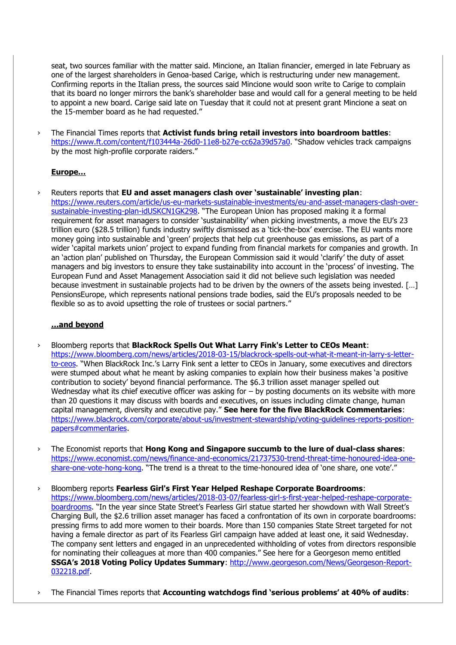seat, two sources familiar with the matter said. Mincione, an Italian financier, emerged in late February as one of the largest shareholders in Genoa-based Carige, which is restructuring under new management. Confirming reports in the Italian press, the sources said Mincione would soon write to Carige to complain that its board no longer mirrors the bank's shareholder base and would call for a general meeting to be held to appoint a new board. Carige said late on Tuesday that it could not at present grant Mincione a seat on the 15-member board as he had requested."

› The Financial Times reports that **Activist funds bring retail investors into boardroom battles**: <https://www.ft.com/content/f103444a-26d0-11e8-b27e-cc62a39d57a0>. "Shadow vehicles track campaigns by the most high-profile corporate raiders."

## **Europe…**

› Reuters reports that **EU and asset managers clash over 'sustainable' investing plan**: [https://www.reuters.com/article/us-eu-markets-sustainable-investments/eu-and-asset-managers-clash-over](https://www.reuters.com/article/us-eu-markets-sustainable-investments/eu-and-asset-managers-clash-over-sustainable-investing-plan-idUSKCN1GK298)[sustainable-investing-plan-idUSKCN1GK298](https://www.reuters.com/article/us-eu-markets-sustainable-investments/eu-and-asset-managers-clash-over-sustainable-investing-plan-idUSKCN1GK298). "The European Union has proposed making it a formal requirement for asset managers to consider 'sustainability' when picking investments, a move the EU's 23 trillion euro (\$28.5 trillion) funds industry swiftly dismissed as a 'tick-the-box' exercise. The EU wants more money going into sustainable and 'green' projects that help cut greenhouse gas emissions, as part of a wider 'capital markets union' project to expand funding from financial markets for companies and growth. In an 'action plan' published on Thursday, the European Commission said it would 'clarify' the duty of asset managers and big investors to ensure they take sustainability into account in the 'process' of investing. The European Fund and Asset Management Association said it did not believe such legislation was needed because investment in sustainable projects had to be driven by the owners of the assets being invested. […] PensionsEurope, which represents national pensions trade bodies, said the EU's proposals needed to be flexible so as to avoid upsetting the role of trustees or social partners."

#### **…and beyond**

- › Bloomberg reports that **BlackRock Spells Out What Larry Fink's Letter to CEOs Meant**: [https://www.bloomberg.com/news/articles/2018-03-15/blackrock-spells-out-what-it-meant-in-larry-s-letter](https://www.bloomberg.com/news/articles/2018-03-15/blackrock-spells-out-what-it-meant-in-larry-s-letter-to-ceos)[to-ceos](https://www.bloomberg.com/news/articles/2018-03-15/blackrock-spells-out-what-it-meant-in-larry-s-letter-to-ceos). "When BlackRock Inc.'s Larry Fink sent a letter to CEOs in January, some executives and directors were stumped about what he meant by asking companies to explain how their business makes 'a positive contribution to society' beyond financial performance. The \$6.3 trillion asset manager spelled out Wednesday what its chief executive officer was asking for – by posting documents on its website with more than 20 questions it may discuss with boards and executives, on issues including climate change, human capital management, diversity and executive pay." **See here for the five BlackRock Commentaries**: [https://www.blackrock.com/corporate/about-us/investment-stewardship/voting-guidelines-reports-position](https://www.blackrock.com/corporate/about-us/investment-stewardship/voting-guidelines-reports-position-papers#commentaries)[papers#commentaries.](https://www.blackrock.com/corporate/about-us/investment-stewardship/voting-guidelines-reports-position-papers#commentaries)
- › The Economist reports that **Hong Kong and Singapore succumb to the lure of dual-class shares**: [https://www.economist.com/news/finance-and-economics/21737530-trend-threat-time-honoured-idea-one](https://www.economist.com/news/finance-and-economics/21737530-trend-threat-time-honoured-idea-one-share-one-vote-hong-kong)[share-one-vote-hong-kong](https://www.economist.com/news/finance-and-economics/21737530-trend-threat-time-honoured-idea-one-share-one-vote-hong-kong). "The trend is a threat to the time-honoured idea of 'one share, one vote'."
- › Bloomberg reports **Fearless Girl's First Year Helped Reshape Corporate Boardrooms**: [https://www.bloomberg.com/news/articles/2018-03-07/fearless-girl-s-first-year-helped-reshape-corporate](https://www.bloomberg.com/news/articles/2018-03-07/fearless-girl-s-first-year-helped-reshape-corporate-boardrooms)[boardrooms](https://www.bloomberg.com/news/articles/2018-03-07/fearless-girl-s-first-year-helped-reshape-corporate-boardrooms). "In the year since State Street's Fearless Girl statue started her showdown with Wall Street's Charging Bull, the \$2.6 trillion asset manager has faced a confrontation of its own in corporate boardrooms: pressing firms to add more women to their boards. More than 150 companies State Street targeted for not having a female director as part of its Fearless Girl campaign have added at least one, it said Wednesday. The company sent letters and engaged in an unprecedented withholding of votes from directors responsible for nominating their colleagues at more than 400 companies." See here for a Georgeson memo entitled **SSGA's 2018 Voting Policy Updates Summary**: [http://www.georgeson.com/News/Georgeson-Report-](http://www.georgeson.com/News/Georgeson-Report-032218.pdf)[032218.pdf.](http://www.georgeson.com/News/Georgeson-Report-032218.pdf)
- › The Financial Times reports that **Accounting watchdogs find 'serious problems' at 40% of audits**: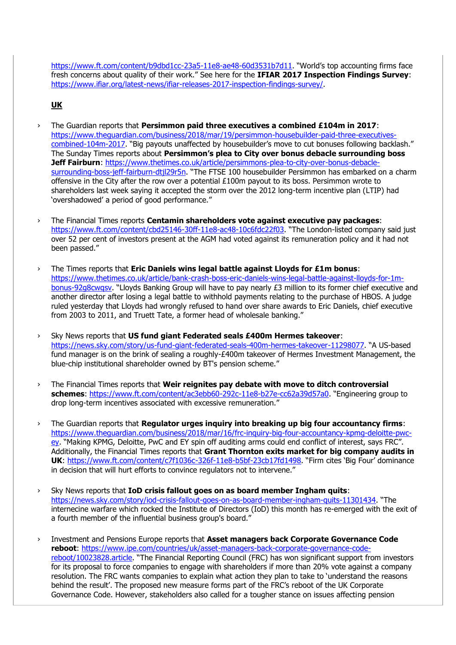<https://www.ft.com/content/b9dbd1cc-23a5-11e8-ae48-60d3531b7d11>. "World's top accounting firms face fresh concerns about quality of their work." See here for the **IFIAR 2017 Inspection Findings Survey**: [https://www.ifiar.org/latest-news/ifiar-releases-2017-inspection-findings-survey/.](https://www.ifiar.org/latest-news/ifiar-releases-2017-inspection-findings-survey/)

## **UK**

- › The Guardian reports that **Persimmon paid three executives a combined £104m in 2017**: [https://www.theguardian.com/business/2018/mar/19/persimmon-housebuilder-paid-three-executives](https://www.theguardian.com/business/2018/mar/19/persimmon-housebuilder-paid-three-executives-combined-104m-2017)[combined-104m-2017](https://www.theguardian.com/business/2018/mar/19/persimmon-housebuilder-paid-three-executives-combined-104m-2017). "Big payouts unaffected by housebuilder's move to cut bonuses following backlash." The Sunday Times reports about **Persimmon's plea to City over bonus debacle surrounding boss**  Jeff Fairburn: [https://www.thetimes.co.uk/article/persimmons-plea-to-city-over-bonus-debacle](https://www.thetimes.co.uk/article/persimmons-plea-to-city-over-bonus-debacle-surrounding-boss-jeff-fairburn-dtjl29r5n)[surrounding-boss-jeff-fairburn-dtjl29r5n](https://www.thetimes.co.uk/article/persimmons-plea-to-city-over-bonus-debacle-surrounding-boss-jeff-fairburn-dtjl29r5n). "The FTSE 100 housebuilder Persimmon has embarked on a charm offensive in the City after the row over a potential £100m payout to its boss. Persimmon wrote to shareholders last week saying it accepted the storm over the 2012 long-term incentive plan (LTIP) had 'overshadowed' a period of good performance."
- › The Financial Times reports **Centamin shareholders vote against executive pay packages**: <https://www.ft.com/content/cbd25146-30ff-11e8-ac48-10c6fdc22f03>. "The London-listed company said just over 52 per cent of investors present at the AGM had voted against its remuneration policy and it had not been passed."
- › The Times reports that **Eric Daniels wins legal battle against Lloyds for £1m bonus**: [https://www.thetimes.co.uk/article/bank-crash-boss-eric-daniels-wins-legal-battle-against-lloyds-for-1m](https://www.thetimes.co.uk/article/bank-crash-boss-eric-daniels-wins-legal-battle-against-lloyds-for-1m-bonus-92g8cwqsv)[bonus-92g8cwqsv](https://www.thetimes.co.uk/article/bank-crash-boss-eric-daniels-wins-legal-battle-against-lloyds-for-1m-bonus-92g8cwqsv). "Lloyds Banking Group will have to pay nearly £3 million to its former chief executive and another director after losing a legal battle to withhold payments relating to the purchase of HBOS. A judge ruled yesterday that Lloyds had wrongly refused to hand over share awards to Eric Daniels, chief executive from 2003 to 2011, and Truett Tate, a former head of wholesale banking."
- › Sky News reports that **US fund giant Federated seals £400m Hermes takeover**: <https://news.sky.com/story/us-fund-giant-federated-seals-400m-hermes-takeover-11298077>. "A US-based fund manager is on the brink of sealing a roughly-£400m takeover of Hermes Investment Management, the blue-chip institutional shareholder owned by BT's pension scheme."
- › The Financial Times reports that **Weir reignites pay debate with move to ditch controversial schemes**:<https://www.ft.com/content/ac3ebb60-292c-11e8-b27e-cc62a39d57a0>. "Engineering group to drop long-term incentives associated with excessive remuneration."
- › The Guardian reports that **Regulator urges inquiry into breaking up big four accountancy firms**: [https://www.theguardian.com/business/2018/mar/16/frc-inquiry-big-four-accountancy-kpmg-deloitte-pwc](https://www.theguardian.com/business/2018/mar/16/frc-inquiry-big-four-accountancy-kpmg-deloitte-pwc-ey)[ey](https://www.theguardian.com/business/2018/mar/16/frc-inquiry-big-four-accountancy-kpmg-deloitte-pwc-ey). "Making KPMG, Deloitte, PwC and EY spin off auditing arms could end conflict of interest, says FRC". Additionally, the Financial Times reports that **Grant Thornton exits market for big company audits in UK**:<https://www.ft.com/content/c7f1036c-326f-11e8-b5bf-23cb17fd1498>. "Firm cites 'Big Four' dominance in decision that will hurt efforts to convince regulators not to intervene."
- › Sky News reports that **IoD crisis fallout goes on as board member Ingham quits**: <https://news.sky.com/story/iod-crisis-fallout-goes-on-as-board-member-ingham-quits-11301434>. "The internecine warfare which rocked the Institute of Directors (IoD) this month has re-emerged with the exit of a fourth member of the influential business group's board."
- › Investment and Pensions Europe reports that **Asset managers back Corporate Governance Code reboot**: [https://www.ipe.com/countries/uk/asset-managers-back-corporate-governance-code](https://www.ipe.com/countries/uk/asset-managers-back-corporate-governance-code-reboot/10023828.article)[reboot/10023828.article](https://www.ipe.com/countries/uk/asset-managers-back-corporate-governance-code-reboot/10023828.article). "The Financial Reporting Council (FRC) has won significant support from investors for its proposal to force companies to engage with shareholders if more than 20% vote against a company resolution. The FRC wants companies to explain what action they plan to take to 'understand the reasons behind the result'. The proposed new measure forms part of the FRC's reboot of the UK Corporate Governance Code. However, stakeholders also called for a tougher stance on issues affecting pension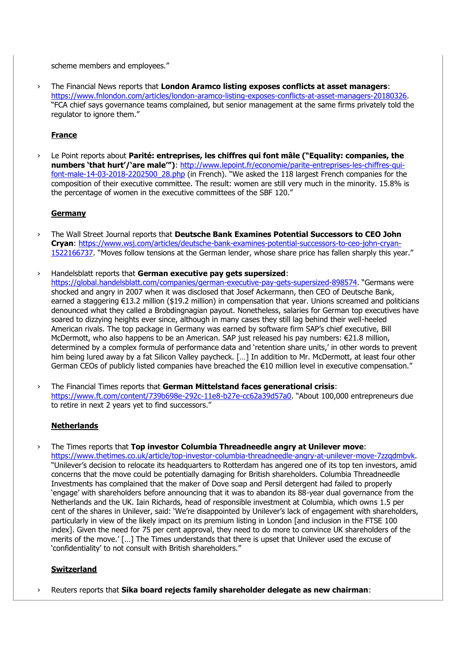scheme members and employees."

› The Financial News reports that **London Aramco listing exposes conflicts at asset managers**: [https://www.fnlondon.com/articles/london-aramco-listing-exposes-conflicts-at-asset-managers-20180326.](https://www.fnlondon.com/articles/london-aramco-listing-exposes-conflicts-at-asset-managers-20180326) "FCA chief says governance teams complained, but senior management at the same firms privately told the regulator to ignore them."

# **France**

› Le Point reports about **Parité: entreprises, les chiffres qui font mâle ("Equality: companies, the numbers 'that hurt'/'are male'")**: [http://www.lepoint.fr/economie/parite-entreprises-les-chiffres-qui](http://www.lepoint.fr/economie/parite-entreprises-les-chiffres-qui-font-male-14-03-2018-2202500_28.php)[font-male-14-03-2018-2202500\\_28.php](http://www.lepoint.fr/economie/parite-entreprises-les-chiffres-qui-font-male-14-03-2018-2202500_28.php) (in French). "We asked the 118 largest French companies for the composition of their executive committee. The result: women are still very much in the minority. 15.8% is the percentage of women in the executive committees of the SBF 120."

## **Germany**

- › The Wall Street Journal reports that **Deutsche Bank Examines Potential Successors to CEO John Cryan**: [https://www.wsj.com/articles/deutsche-bank-examines-potential-successors-to-ceo-john-cryan-](https://www.wsj.com/articles/deutsche-bank-examines-potential-successors-to-ceo-john-cryan-1522166737)[1522166737](https://www.wsj.com/articles/deutsche-bank-examines-potential-successors-to-ceo-john-cryan-1522166737). "Moves follow tensions at the German lender, whose share price has fallen sharply this year."
- › Handelsblatt reports that **German executive pay gets supersized**: <https://global.handelsblatt.com/companies/german-executive-pay-gets-supersized-898574>. "Germans were shocked and angry in 2007 when it was disclosed that Josef Ackermann, then CEO of Deutsche Bank, earned a staggering €13.2 million (\$19.2 million) in compensation that year. Unions screamed and politicians denounced what they called a Brobdingnagian payout. Nonetheless, salaries for German top executives have soared to dizzying heights ever since, although in many cases they still lag behind their well-heeled American rivals. The top package in Germany was earned by software firm SAP's chief executive, Bill McDermott, who also happens to be an American. SAP just released his pay numbers: €21.8 million, determined by a complex formula of performance data and 'retention share units,' in other words to prevent him being lured away by a fat Silicon Valley paycheck. […] In addition to Mr. McDermott, at least four other German CEOs of publicly listed companies have breached the €10 million level in executive compensation."
- › The Financial Times reports that **German Mittelstand faces generational crisis**: <https://www.ft.com/content/739b698e-292c-11e8-b27e-cc62a39d57a0>. "About 100,000 entrepreneurs due to retire in next 2 years yet to find successors."

# **Netherlands**

› The Times reports that **Top investor Columbia Threadneedle angry at Unilever move**: [https://www.thetimes.co.uk/article/top-investor-columbia-threadneedle-angry-at-unilever-move-7zzqdmbvk.](https://www.thetimes.co.uk/article/top-investor-columbia-threadneedle-angry-at-unilever-move-7zzqdmbvk) "Unilever's decision to relocate its headquarters to Rotterdam has angered one of its top ten investors, amid concerns that the move could be potentially damaging for British shareholders. Columbia Threadneedle Investments has complained that the maker of Dove soap and Persil detergent had failed to properly 'engage' with shareholders before announcing that it was to abandon its 88-year dual governance from the Netherlands and the UK. Iain Richards, head of responsible investment at Columbia, which owns 1.5 per cent of the shares in Unilever, said: 'We're disappointed by Unilever's lack of engagement with shareholders, particularly in view of the likely impact on its premium listing in London [and inclusion in the FTSE 100 index]. Given the need for 75 per cent approval, they need to do more to convince UK shareholders of the merits of the move.' […] The Times understands that there is upset that Unilever used the excuse of 'confidentiality' to not consult with British shareholders."

# **Switzerland**

› Reuters reports that **Sika board rejects family shareholder delegate as new chairman**: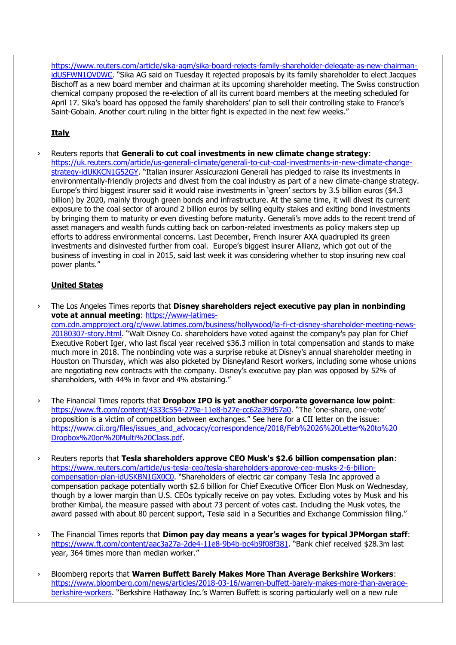[https://www.reuters.com/article/sika-agm/sika-board-rejects-family-shareholder-delegate-as-new-chairman](https://www.reuters.com/article/sika-agm/sika-board-rejects-family-shareholder-delegate-as-new-chairman-idUSFWN1QV0WC)[idUSFWN1QV0WC](https://www.reuters.com/article/sika-agm/sika-board-rejects-family-shareholder-delegate-as-new-chairman-idUSFWN1QV0WC). "Sika AG said on Tuesday it rejected proposals by its family shareholder to elect Jacques Bischoff as a new board member and chairman at its upcoming shareholder meeting. The Swiss construction chemical company proposed the re-election of all its current board members at the meeting scheduled for April 17. Sika's board has opposed the family shareholders' plan to sell their controlling stake to France's Saint-Gobain. Another court ruling in the bitter fight is expected in the next few weeks."

## **Italy**

› Reuters reports that **Generali to cut coal investments in new climate change strategy**: [https://uk.reuters.com/article/us-generali-climate/generali-to-cut-coal-investments-in-new-climate-change](https://uk.reuters.com/article/us-generali-climate/generali-to-cut-coal-investments-in-new-climate-change-strategy-idUKKCN1G52GY)[strategy-idUKKCN1G52GY](https://uk.reuters.com/article/us-generali-climate/generali-to-cut-coal-investments-in-new-climate-change-strategy-idUKKCN1G52GY). "Italian insurer Assicurazioni Generali has pledged to raise its investments in environmentally-friendly projects and divest from the coal industry as part of a new climate-change strategy. Europe's third biggest insurer said it would raise investments in 'green' sectors by 3.5 billion euros (\$4.3 billion) by 2020, mainly through green bonds and infrastructure. At the same time, it will divest its current exposure to the coal sector of around 2 billion euros by selling equity stakes and exiting bond investments by bringing them to maturity or even divesting before maturity. Generali's move adds to the recent trend of asset managers and wealth funds cutting back on carbon-related investments as policy makers step up efforts to address environmental concerns. Last December, French insurer AXA quadrupled its green investments and disinvested further from coal. Europe's biggest insurer Allianz, which got out of the business of investing in coal in 2015, said last week it was considering whether to stop insuring new coal power plants."

## **United States**

- › The Los Angeles Times reports that **Disney shareholders reject executive pay plan in nonbinding vote at annual meeting**: [https://www-latimes](https://www-latimes-com.cdn.ampproject.org/c/www.latimes.com/business/hollywood/la-fi-ct-disney-shareholder-meeting-news-20180307-story.html)[com.cdn.ampproject.org/c/www.latimes.com/business/hollywood/la-fi-ct-disney-shareholder-meeting-news-](https://www-latimes-com.cdn.ampproject.org/c/www.latimes.com/business/hollywood/la-fi-ct-disney-shareholder-meeting-news-20180307-story.html)[20180307-story.html](https://www-latimes-com.cdn.ampproject.org/c/www.latimes.com/business/hollywood/la-fi-ct-disney-shareholder-meeting-news-20180307-story.html). "Walt Disney Co. shareholders have voted against the company's pay plan for Chief Executive Robert Iger, who last fiscal year received \$36.3 million in total compensation and stands to make much more in 2018. The nonbinding vote was a surprise rebuke at Disney's annual shareholder meeting in Houston on Thursday, which was also picketed by Disneyland Resort workers, including some whose unions are negotiating new contracts with the company. Disney's executive pay plan was opposed by 52% of shareholders, with 44% in favor and 4% abstaining."
- › The Financial Times reports that **Dropbox IPO is yet another corporate governance low point**: <https://www.ft.com/content/4333c554-279a-11e8-b27e-cc62a39d57a0>. "The 'one-share, one-vote' proposition is a victim of competition between exchanges." See here for a CII letter on the issue: [https://www.cii.org/files/issues\\_and\\_advocacy/correspondence/2018/Feb%2026%20Letter%20to%20](https://www.cii.org/files/issues_and_advocacy/correspondence/2018/Feb%2026%20Letter%20to%20%0bDropbox%20on%20Multi%20Class.pdf) [Dropbox%20on%20Multi%20Class.pdf.](https://www.cii.org/files/issues_and_advocacy/correspondence/2018/Feb%2026%20Letter%20to%20%0bDropbox%20on%20Multi%20Class.pdf)
- › Reuters reports that **Tesla shareholders approve CEO Musk's \$2.6 billion compensation plan**: [https://www.reuters.com/article/us-tesla-ceo/tesla-shareholders-approve-ceo-musks-2-6-billion](https://www.reuters.com/article/us-tesla-ceo/tesla-shareholders-approve-ceo-musks-2-6-billion-compensation-plan-idUSKBN1GX0C0)[compensation-plan-idUSKBN1GX0C0](https://www.reuters.com/article/us-tesla-ceo/tesla-shareholders-approve-ceo-musks-2-6-billion-compensation-plan-idUSKBN1GX0C0). "Shareholders of electric car company Tesla Inc approved a compensation package potentially worth \$2.6 billion for Chief Executive Officer Elon Musk on Wednesday, though by a lower margin than U.S. CEOs typically receive on pay votes. Excluding votes by Musk and his brother Kimbal, the measure passed with about 73 percent of votes cast. Including the Musk votes, the award passed with about 80 percent support, Tesla said in a Securities and Exchange Commission filing."
- › The Financial Times reports that **Dimon pay day means a year's wages for typical JPMorgan staff**: <https://www.ft.com/content/aac3a27a-2de4-11e8-9b4b-bc4b9f08f381>. "Bank chief received \$28.3m last year, 364 times more than median worker."
- › Bloomberg reports that **Warren Buffett Barely Makes More Than Average Berkshire Workers**: [https://www.bloomberg.com/news/articles/2018-03-16/warren-buffett-barely-makes-more-than-average](https://www.bloomberg.com/news/articles/2018-03-16/warren-buffett-barely-makes-more-than-average-berkshire-workers)[berkshire-workers](https://www.bloomberg.com/news/articles/2018-03-16/warren-buffett-barely-makes-more-than-average-berkshire-workers). "Berkshire Hathaway Inc.'s Warren Buffett is scoring particularly well on a new rule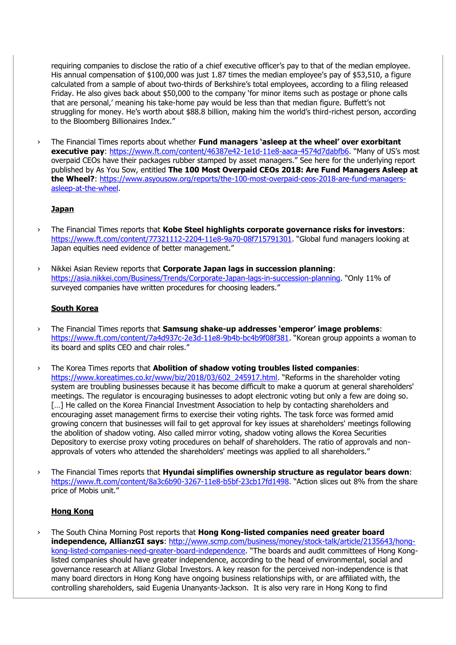requiring companies to disclose the ratio of a chief executive officer's pay to that of the median employee. His annual compensation of \$100,000 was just 1.87 times the median employee's pay of \$53,510, a figure calculated from a sample of about two-thirds of Berkshire's total employees, according to a filing released Friday. He also gives back about \$50,000 to the company 'for minor items such as postage or phone calls that are personal,' meaning his take-home pay would be less than that median figure. Buffett's not struggling for money. He's worth about \$88.8 billion, making him the world's third-richest person, according to the Bloomberg Billionaires Index."

› The Financial Times reports about whether **Fund managers 'asleep at the wheel' over exorbitant executive pay**:<https://www.ft.com/content/46387e42-1e1d-11e8-aaca-4574d7dabfb6>. "Many of US's most overpaid CEOs have their packages rubber stamped by asset managers." See here for the underlying report published by As You Sow, entitled **The 100 Most Overpaid CEOs 2018: Are Fund Managers Asleep at the Wheel?**: [https://www.asyousow.org/reports/the-100-most-overpaid-ceos-2018-are-fund-managers](https://www.asyousow.org/reports/the-100-most-overpaid-ceos-2018-are-fund-managers-asleep-at-the-wheel)[asleep-at-the-wheel.](https://www.asyousow.org/reports/the-100-most-overpaid-ceos-2018-are-fund-managers-asleep-at-the-wheel)

#### **Japan**

- › The Financial Times reports that **Kobe Steel highlights corporate governance risks for investors**: <https://www.ft.com/content/77321112-2204-11e8-9a70-08f715791301>. "Global fund managers looking at Japan equities need evidence of better management."
- › Nikkei Asian Review reports that **Corporate Japan lags in succession planning**: <https://asia.nikkei.com/Business/Trends/Corporate-Japan-lags-in-succession-planning>. "Only 11% of surveyed companies have written procedures for choosing leaders."

## **South Korea**

- › The Financial Times reports that **Samsung shake-up addresses 'emperor' image problems**: <https://www.ft.com/content/7a4d937c-2e3d-11e8-9b4b-bc4b9f08f381></u>. "Korean group appoints a woman to its board and splits CEO and chair roles."
- › The Korea Times reports that **Abolition of shadow voting troubles listed companies**: [https://www.koreatimes.co.kr/www/biz/2018/03/602\\_245917.html](https://www.koreatimes.co.kr/www/biz/2018/03/602_245917.html). "Reforms in the shareholder voting system are troubling businesses because it has become difficult to make a quorum at general shareholders' meetings. The regulator is encouraging businesses to adopt electronic voting but only a few are doing so. [...] He called on the Korea Financial Investment Association to help by contacting shareholders and encouraging asset management firms to exercise their voting rights. The task force was formed amid growing concern that businesses will fail to get approval for key issues at shareholders' meetings following the abolition of shadow voting. Also called mirror voting, shadow voting allows the Korea Securities Depository to exercise proxy voting procedures on behalf of shareholders. The ratio of approvals and nonapprovals of voters who attended the shareholders' meetings was applied to all shareholders."
- › The Financial Times reports that **Hyundai simplifies ownership structure as regulator bears down**: <https://www.ft.com/content/8a3c6b90-3267-11e8-b5bf-23cb17fd1498>. "Action slices out 8% from the share price of Mobis unit."

#### **Hong Kong**

The South China Morning Post reports that **Hong Kong-listed companies need greater board independence, AllianzGI says**: [http://www.scmp.com/business/money/stock-talk/article/2135643/hong](http://www.scmp.com/business/money/stock-talk/article/2135643/hong-kong-listed-companies-need-greater-board-independence)[kong-listed-companies-need-greater-board-independence](http://www.scmp.com/business/money/stock-talk/article/2135643/hong-kong-listed-companies-need-greater-board-independence). "The boards and audit committees of Hong Konglisted companies should have greater independence, according to the head of environmental, social and governance research at Allianz Global Investors. A key reason for the perceived non-independence is that many board directors in Hong Kong have ongoing business relationships with, or are affiliated with, the controlling shareholders, said Eugenia Unanyants-Jackson. It is also very rare in Hong Kong to find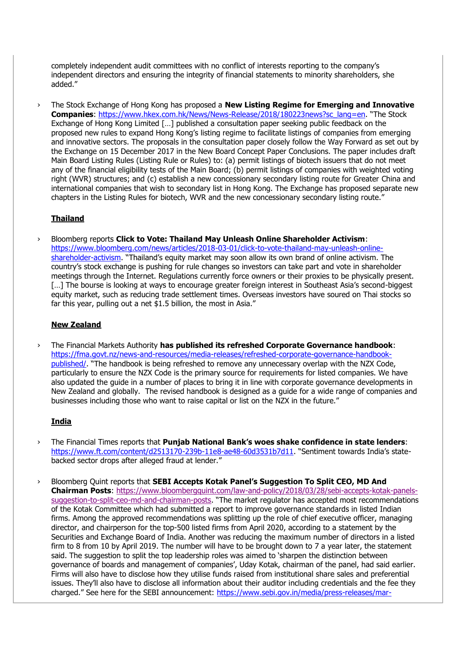completely independent audit committees with no conflict of interests reporting to the company's independent directors and ensuring the integrity of financial statements to minority shareholders, she added."

› The Stock Exchange of Hong Kong has proposed a **New Listing Regime for Emerging and Innovative Companies**: [https://www.hkex.com.hk/News/News-Release/2018/180223news?sc\\_lang=en](https://www.hkex.com.hk/News/News-Release/2018/180223news?sc_lang=en). "The Stock Exchange of Hong Kong Limited […] published a consultation paper seeking public feedback on the proposed new rules to expand Hong Kong's listing regime to facilitate listings of companies from emerging and innovative sectors. The proposals in the consultation paper closely follow the Way Forward as set out by the Exchange on 15 December 2017 in the New Board Concept Paper Conclusions. The paper includes draft Main Board Listing Rules (Listing Rule or Rules) to: (a) permit listings of biotech issuers that do not meet any of the financial eligibility tests of the Main Board; (b) permit listings of companies with weighted voting right (WVR) structures; and (c) establish a new concessionary secondary listing route for Greater China and international companies that wish to secondary list in Hong Kong. The Exchange has proposed separate new chapters in the Listing Rules for biotech, WVR and the new concessionary secondary listing route."

## **Thailand**

› Bloomberg reports **Click to Vote: Thailand May Unleash Online Shareholder Activism**: [https://www.bloomberg.com/news/articles/2018-03-01/click-to-vote-thailand-may-unleash-online](https://www.bloomberg.com/news/articles/2018-03-01/click-to-vote-thailand-may-unleash-online-shareholder-activism)[shareholder-activism](https://www.bloomberg.com/news/articles/2018-03-01/click-to-vote-thailand-may-unleash-online-shareholder-activism). "Thailand's equity market may soon allow its own brand of online activism. The country's stock exchange is pushing for rule changes so investors can take part and vote in shareholder meetings through the Internet. Regulations currently force owners or their proxies to be physically present. [...] The bourse is looking at ways to encourage greater foreign interest in Southeast Asia's second-biggest equity market, such as reducing trade settlement times. Overseas investors have soured on Thai stocks so far this year, pulling out a net \$1.5 billion, the most in Asia."

#### **New Zealand**

› The Financial Markets Authority **has published its refreshed Corporate Governance handbook**: [https://fma.govt.nz/news-and-resources/media-releases/refreshed-corporate-governance-handbook](https://fma.govt.nz/news-and-resources/media-releases/refreshed-corporate-governance-handbook-published/)[published/](https://fma.govt.nz/news-and-resources/media-releases/refreshed-corporate-governance-handbook-published/). "The handbook is being refreshed to remove any unnecessary overlap with the NZX Code, particularly to ensure the NZX Code is the primary source for requirements for listed companies. We have also updated the guide in a number of places to bring it in line with corporate governance developments in New Zealand and globally. The revised handbook is designed as a guide for a wide range of companies and businesses including those who want to raise capital or list on the NZX in the future."

# **India**

- › The Financial Times reports that **Punjab National Bank's woes shake confidence in state lenders**: <https://www.ft.com/content/d2513170-239b-11e8-ae48-60d3531b7d11>. "Sentiment towards India's statebacked sector drops after alleged fraud at lender."
- Bloomberg Quint reports that **SEBI Accepts Kotak Panel's Suggestion To Split CEO, MD And Chairman Posts**: [https://www.bloombergquint.com/law-and-policy/2018/03/28/sebi-accepts-kotak-panels](https://www.bloombergquint.com/law-and-policy/2018/03/28/sebi-accepts-kotak-panels-suggestion-to-split-ceo-md-and-chairman-posts)[suggestion-to-split-ceo-md-and-chairman-posts](https://www.bloombergquint.com/law-and-policy/2018/03/28/sebi-accepts-kotak-panels-suggestion-to-split-ceo-md-and-chairman-posts). "The market regulator has accepted most recommendations of the Kotak Committee which had submitted a report to improve governance standards in listed Indian firms. Among the approved recommendations was splitting up the role of chief executive officer, managing director, and chairperson for the top-500 listed firms from April 2020, according to a statement by the Securities and Exchange Board of India. Another was reducing the maximum number of directors in a listed firm to 8 from 10 by April 2019. The number will have to be brought down to 7 a year later, the statement said. The suggestion to split the top leadership roles was aimed to 'sharpen the distinction between governance of boards and management of companies', Uday Kotak, chairman of the panel, had said earlier. Firms will also have to disclose how they utilise funds raised from institutional share sales and preferential issues. They'll also have to disclose all information about their auditor including credentials and the fee they charged." See here for the SEBI announcement: [https://www.sebi.gov.in/media/press-releases/mar-](https://www.sebi.gov.in/media/press-releases/mar-2018/sebi-board-meeting_38473.html)